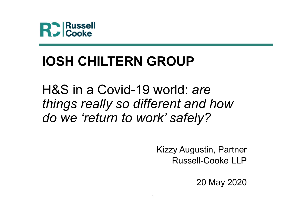

## IOSH CHILTERN GROUP

H&S in a Covid-19 world: are **RC** Russell<br> **IOSH CHILTERN GROUP**<br>
H&S in a Covid-19 world: *are<br>
things really so different and how*<br> *do we 'return to work' safely?* do we 'return to work' safely?

> Kizzy Augustin, Partner Russell-Cooke LLP

> > 20 May 2020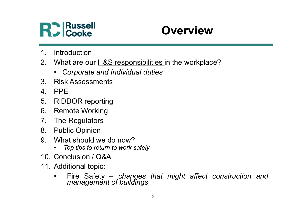

## **Overview**

- 
- **PC Russell<br>
1. Introduction<br>
2. What are our <u>H&S responsibilities in</u><br>
1. Corporate and Individual duties<br>
1. Corporate and Individual duties** 2. Russell<br>
2. Untroduction<br>
2. What are our H&S responsibilities in the workplace?<br>
2. Corporate and Individual duties<br>
3. Risk Assessments • Russell<br>
• Cooke<br>
• Corporate and Individual duties<br>
• Corporate and Individual duties<br>
• Corporate and Individual duties<br>
PPE **3. Russell<br>
3. Russell<br>
3. What are our <u>H&S responsibilities i</u>n the w<br>
3. Risk Assessments<br>
4. PPE<br>
5. RIDDOR reporting PPE State of Accoools**<br> **A. Property Cooke**<br> **Cooke**<br> **Cooke**<br> **Cooke**<br> **Cooke**<br> **Cooke**<br> **Cooke**<br> **Cooke**<br> **Cooke**<br> **Cooke**<br> **Cooke**<br> **Cookee**<br> **Cookee**<br> **Cookee**<br> **Cookee**<br> **Cookee**<br> **Cookee**<br> **Cookee**<br> **Cookee**<br> **Cooke 1. Introduction<br>
1. Introduction<br>
2. What are our H&S responsibilities in the workp<br>
• Corporate and Individual duties<br>
3. Risk Assessments<br>
4. PPE<br>
5. RIDDOR reporting<br>
6. Remote Working<br>
7. The Regulators 1. Introduction**<br>
1. Introduction<br>
2. What are our H&S responsibilities in the work<br>
• Corporate and Individual duties<br>
3. Risk Assessments<br>
4. PPE<br>
5. RIDDOR reporting<br>
6. Remote Working<br>
7. The Regulators<br>
8. Public Opi 1. Introduction<br>
2. What are our H&S responsibilities in the v<br>
Corporate and Individual duties<br>
3. Risk Assessments<br>
4. PPE<br>
5. RIDDOR reporting<br>
6. Remote Working<br>
7. The Regulators<br>
8. Public Opinion<br>
9. What should we 1. Introduction<br>
2. What are our <u>H&S responsibilities i</u>n the word<br>
1. Corporate and Individual duties<br>
3. Risk Assessments<br>
4. PPE<br>
5. RIDDOR reporting<br>
6. Remote Working<br>
7. The Regulators<br>
8. Public Opinion<br>
9. What sh 1. Introduction<br>
2. What are our <u>H&S responsibilities i</u>n the workplace?<br>
• Corporate and Individual duties<br>
3. Risk Assessments<br>
4. PPE<br>
5. RIDDOR reporting<br>
6. Remote Working<br>
7. The Regulators<br>
8. Public Opinion<br>
9. Wh mabduction<br>
What are our <u>H&S responsibilities i</u>n the workplace?<br>
• Corporate and Individual duties<br>
Risk Assessments<br>
PPE<br>
RIDDOR reporting<br>
Remote Working<br>
The Regulators<br>
Public Opinion<br>
What should we do now?<br>
• Top t
	-
- 
- 
- 
- 
- 
- 
- -
- 
- 
- 2. What are our <u>Hold Hesponsibilities</u> in the workplace<br>
 Corporate and Individual duties<br>
1. PPE<br>
5. RIDDOR reporting<br>
6. Remote Working<br>
7. The Regulators<br>
8. Public Opinion<br>
9. What should we do now?<br>
 Top tips to re • Corporate and Individual duties<br>
3. Risk Assessments<br>
4. PPE<br>
5. RIDDOR reporting<br>
6. Remote Working<br>
7. The Regulators<br>
8. Public Opinion<br>
9. What should we do now?<br>
• Top tips to return to work safely<br>
10. Conclusion / FIFE<br>
FIRE<br>
RIDDOR reporting<br>
Remote Working<br>
The Regulators<br>
What should we do now?<br>
• Top tips to return to work safely<br>
Conclusion / Q&A<br>
Additional topic:<br>
• Fire Safety – changes that might affect construction and<br>
ma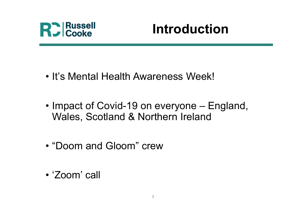

## Introduction

- Parameter introduction<br>• It's Mental Health Awareness Week!<br>• It's Mental Health Awareness Week!
- It's Mental Health Awareness Week!<br>• It's Mental Health Awareness Week!<br>• Impact of Covid-19 on everyone England, Wales, Scotland & Northern Ireland Wales, Scotland & Northern Ireland • It's Mental Health Awareness Week!<br>• Impact of Covid-19 on everyone – England<br>Wales, Scotland & Northern Ireland<br>• "Doom and Gloom" crew • Impact of Covid-19 on eve<br>Wales, Scotland & Norther<br>• "Doom and Gloom" crew<br>• 'Zoom' call
- 
-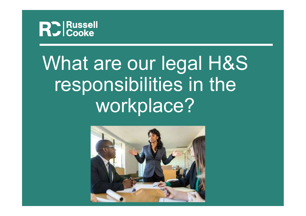

## What are our legal H&S responsibilities in the workplace?

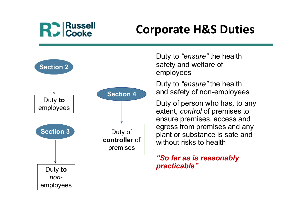## **R.** Russell

## Corporate H&S Duties



Duty to "ensure" the health safety and welfare of employees

Duty to "ensure" the health and safety of non-employees

Duty of person who has, to any extent, control of premises to ensure premises, access and egress from premises and any plant or substance is safe and without risks to health

### "So far as is reasonably practicable"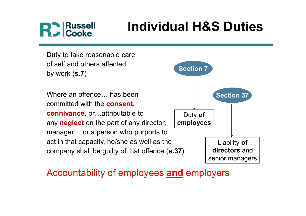## **D** Russell<br>Cooke

## Individual H&S Duties

Duty to take reasonable care of self and others affected by work (s.7)

Where an offence **has been** committed with the consent, connivance, or…attributable to any **neglect** on the part of any director, manager… or a person who purports to act in that capacity, he/she as well as the company shall be guilty of that offence (s.37)



### Accountability of employees and employers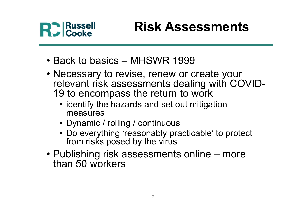

## Risk Assessments

- 
- Risk Assessments<br>• Back to basics MHSWR 1999<br>• Necessary to revise, renew or create your<br>• relevant risk assessments dealing with COVI • Necessary to revise, renew or create your<br>
• Necessary to revise, renew or create your<br>
• Necessary to revise, renew or create your<br>
• The relevant risk assessments dealing with COVID-<br>
19 to encompass the return to work relevant risk assessments dealing with COVID-19 to encompass the return to work • **Risk Assessments**<br>
• cooke<br>
• ack to basics – MHSWR 1999<br>
• ecessary to revise, renew or create your<br>
• levant risk assessments dealing with COVID<br>
• identify the hazards and set out mitigation<br>
• Dynamic / rolling / co • Cooke<br>
• THENY TOOCOCHING 1999<br>
• RESERVITED 2009<br>
• RESERVITED 2009<br>
• Proposed and Set out mitigation<br>
• Continuous<br>
• Dynamic / rolling / continuous<br>
• Do everything 'reasonably practicable' to profilm itsks posed by ack to basics – MHSWR 1999<br>
ecessary to revise, renew or create your<br>
elevant risk assessments dealing with COVID-<br>
9 to encompass the return to work<br>
• identify the hazards and set out mitigation<br>
measures<br>
• Dynamic / ro • Necessary to revise, renew or create your<br>
relevant risk assessments dealing with COVID-<br>
19 to encompass the return to work<br>
• identify the hazards and set out mitigation<br>
measures<br>
• Dynamic / rolling / continuous<br>
• D
	- measures
	-
	- Do everything 'reasonably practicable' to protect from risks posed by the virus
- than 50 workers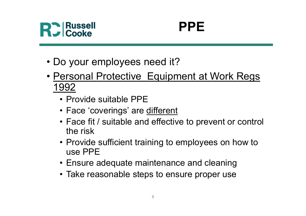

## PPE

- 
- PPE<br>• Do your employees need it?<br>• <u>Personal Protective Equipment at Work F</u> • PPE<br>• Do your employees need it?<br>• <u>Personal Protective Equipment at Work Regs<br>• Provide suitable PPE</u> 1992 • **PPE**<br>
• Cooke<br>
• O your employees need it?<br>
• Provide suitable PPE<br>
• Provide suitable PPE<br>
• Face 'coverings' are <u>different</u><br>
• Face fit / suitable and effective to preven • **PPE**<br>
• Face of Solven Cooke<br>
• Face 17<br>
• Frovide suitable PPE<br>
• Face 'coverings' are <u>different</u><br>
• Face fit / suitable and effective to pre<br>
• the risk • Cooke<br>
• Face fit?<br>
• Face fit / suitable PPE<br>
• Face 'coverings' are different<br>
• Face fit / suitable and effective to prevent or control<br>
• Face fit / suitable and effective to prevent or control<br>
• Provide sufficient • O your employees need it?<br>
• Provide suitable PPE<br>
• Provide suitable PPE<br>
• Face 'coverings' are <u>different</u><br>
• Face fit / suitable and effective to prevent or control<br>
• the risk<br>
• Provide sufficient training to emplo ersonal Protective Equipment at Work Regs<br>
992<br>
• Provide suitable PPE<br>
• Face 'coverings' are <u>different</u><br>
• Face fit / suitable and effective to prevent or control<br>
the risk<br>
• Provide sufficient training to employees on
	-
	-
	- the risk • Provide suitable PPE<br>• Face 'coverings' are <u>different</u><br>• Face fit / suitable and effective to prevent or control<br>the risk<br>• Provide sufficient training to employees on how to<br>use PPE<br>• Ensure adequate maintenance and cl
	- use PPE
	-
	-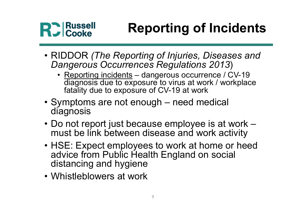## Reporting of Incidents

- Russell **Reporting of Incidents**<br>• RIDDOR (*The Reporting of Injuries, Diseases and Dangerous Occurrences Regulations 2013*)<br>• Reporting incidents dangerous occurrence / CV-19 Dangerous Occurrences Regulations 2013)
- Russell<br>
 Cooke  **Reporting of Incidents**<br>
 IDDOR (*The Reporting of Injuries, Diseases and angerous Occurrences Regulations 2013*)<br>
 <u>Reporting incidents</u> dangerous occurrence / CV-19<br>
 diagnosis due to exposure diagnosis due to exposure to virus at work / workplace fatality due to exposure of CV-19 at work • RIDDOR (The Reporting of Incidents<br>• RIDDOR (The Reporting of Injuries, Diseases and<br>Dangerous Occurrences Regulations 2013)<br>• Reporting incidents – dangerous occurrence / CV-19<br>diagnosis due to exposure to virus at work • RIDDOR (The Reporting of Injuries, Diseases and<br>
Dangerous Occurrences Regulations 2013)<br>
• Reporting incidents – dangerous occurrence / CV-19<br>
diagnosis due to exposure to virus at work / workplace<br>
fatality due to expo
- diagnosis
- must be link between disease and work activity
- RIDDOR (*The Reporting of Injuries, Diseases and Dangerous Occurrences Regulations 2013*)<br>• Reporting incidents dangerous occurrence / CV-19<br>• diagnosis due to exposure to virus at work / workplace<br>fatality due to expo advice from Public Health England on social distancing and hygiene diality due to exposure to vitus at we<br>fatality due to exposure of CV-19 at worker<br>• Symptoms are not enough – need m<br>diagnosis<br>• Do not report just because employee<br>must be link between disease and w<br>• HSE: Expect employe
-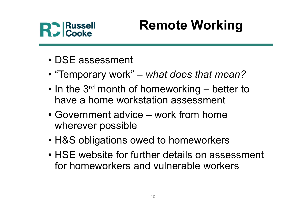

## Remote Working

- 
- Russell Remo<br>• DSE assessment<br>• "Temporary work" what c
- Russell<br>• DSE assessment<br>• "Temporary work" what does that mean?<br>• In the 3<sup>rd</sup> month of homeworking better to<br>• have a home workstation assessment • In the 3<sup>rd</sup> month of homeworking<br>• In the 3<sup>rd</sup> month of homeworking – better to<br>• In the 3<sup>rd</sup> month of homeworking – better to<br>• Government advice – werk from home have a home workstation assessment • DSE assessment<br>• DSE assessment<br>• "Temporary work" – *what does that mean?*<br>• In the 3<sup>rd</sup> month of homeworking – better to<br>have a home workstation assessment<br>• Government advice – work from home<br>wherever possible<br>• H&S • DSE assessment<br>• "Temporary work" – *what does that mean?*<br>• In the 3<sup>rd</sup> month of homeworking – better to<br>have a home workstation assessment<br>• Government advice – work from home<br>• We wherever possible<br>• H&S obligations
- wherever possible
- 
- "Temporary work" *what does that mean?*<br>• In the  $3^{rd}$  month of homeworking better to<br>have a home workstation assessment<br>• Government advice work from home<br>wherever possible<br>• H&S obligations owed to homeworkers<br> for homeworkers and vulnerable workers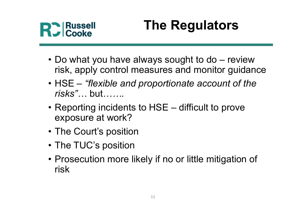

## The Regulators

- **Property Cooke**<br>• Do what you have always sought to do review<br>• risk, apply control measures and monitor guidance<br>• HSF "flexible and proportionate account of the risk, apply control measures and monitor guidance • Russell **Find Regulators**<br>• Do what you have always sought to do – review<br>• HSE – "flexible and proportionate account of the<br>• Reporting incidents to HSE – difficult to prove **The Regulators<br>
• Do what you have always sought to do – review<br>
risk, apply control measures and monitor guidance<br>
• HSE – "flexible and proportionate account of the<br>
risks"... but.......<br>
• Reporting incidents to HSE –**
- Do what you have always sought to<br>
risk, apply control measures and m<br>
 HSE "flexible and proportionate a<br>
risks"... but.......<br>
 Reporting incidents to HSE difficiently<br>
 The Court's position<br>
 The TUC's positio • Do what you have always sought<br>
risk, apply control measures and r<br>
• HSE – "flexible and proportionate<br>
risks"... but.......<br>
• Reporting incidents to HSE – diffic<br>
exposure at work?<br>
• The Court's position<br>
• The TUC's risk, apply control measures and monitor guidance<br>• HSE – *"flexible and proportionate account of the*<br>*risks"*... but.......<br>• Reporting incidents to HSE – difficult to prove<br>exposure at work?<br>• The Court's position<br>• The
- exposure at work?
- 
- 
- risk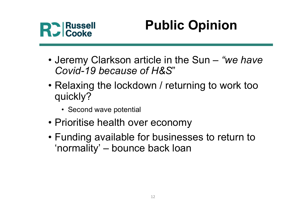

## Public Opinion

- Jeremy Clarkson article in the Sun "we have<br>
 Jeremy Clarkson article in the Sun "we have<br>
Covid-19 because of H&S"<br>
 Pelaxing the lockdown / returning to work too Covid-19 because of H&S"
- Russell<br>• Jeremy Clarkson article in the Sun "we have<br>• Covid-19 because of H&S"<br>• Relaxing the lockdown / returning to work too<br>quickly?<br>• Second wave potential quickly? **Public<br>
Cooke**<br>
Framy Clarkson article in the<br>
Covid-19 because of H&S"<br>
Claxing the lockdown / retur<br>
uickly?<br>
Frame wave potential<br>
Frame in the conom • Jeremy Clarkson article in the Sun – "we h<br>
Covid-19 because of H&S"<br>
• Relaxing the lockdown / returning to work t<br>
quickly?<br>
• Second wave potential<br>
• Prioritise health over economy<br>
• Funding available for businesses • Jeremy Clarkson article in the Sun – "we have<br>
Covid-19 because of H&S"<br>
• Relaxing the lockdown / returning to work too<br>
quickly?<br>
• Second wave potential<br>
• Prioritise health over economy<br>
• Funding available for busin Jeremy Clarkson article in the Sun – "we ha<br>Covid-19 because of H&S"<br>Relaxing the lockdown / returning to work to<br>quickly?<br>· second wave potential<br>Prioritise health over economy<br>Funding available for businesses to return t
	-
- 
-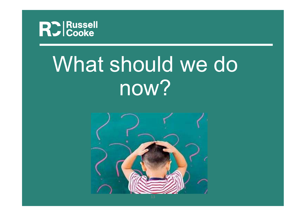

## What should we do now?

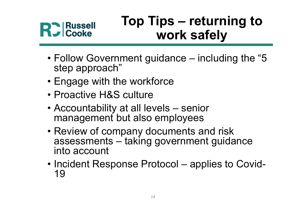

# Top Tips – returning to<br>work safely work safely

- Follow Government guidance including the "5<br>• Follow Government guidance including the "5<br>• Engage with the workforce step approach" • Follow Government guidance – including<br>• Follow Government guidance – including<br>• Engage with the workforce<br>• Proactive H&S culture • Pollow Government guidance – inclusion Follow Government guidance – inclusion of the step approach<br>
• Follow Government guidance – inclusion of the step approach<br>
• Proactive H&S culture<br>
• Accountability at all levels – • Follow Government guidance – including the "5<br>• Follow Government guidance – including the "5<br>• Engage with the workforce<br>• Proactive H&S culture<br>• Accountability at all levels – senior<br>• management but also employees<br>•
- 
- 
- management but also employees
- Follow Government guidance including the "5<br>
 Engage with the workforce<br>
 Proactive H&S culture<br>
 Accountability at all levels senior<br>
 Accountability at all levels senior<br>
 Review of company documents and ris Follow Government guidance – including the "5<br>step approach"<br>Engage with the workforce<br>Proactive H&S culture<br>Accountability at all levels – senior<br>management but also employees<br>Review of company documents and risk<br>assessme into account • Engage with the workforce<br>• Proactive H&S culture<br>• Accountability at all levels – senior<br>management but also employees<br>• Review of company documents and risk<br>assessments – taking government guidance<br>into account<br>• Incid
- 19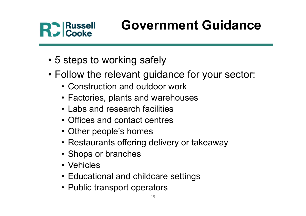## Government Guidance

- 
- Follow the relevant guidance for your • Follow the relevant guidance<br>• 5 steps to working safely<br>• Follow the relevant guidance for your sector:<br>• Construction and outdoor work<br>• Factories, plants and warehouses **Russell Government Guidar<br>
Frank Cooke**<br>
Steps to working safely<br>
ollow the relevant guidance for your sect<br>
• Construction and outdoor work<br>
• Factories, plants and warehouses<br>
• Labs and research facilities **Russell Government Guidanc<br>
Frank Cooke**<br>
Steps to working safely<br>
ollow the relevant guidance for your sector<br>
• Construction and outdoor work<br>
• Factories, plants and warehouses<br>
• Labs and research facilities<br>
• Office **Russell Government Guic<br>
Sovernment Guic<br>
steps to working safely<br>
ollow the relevant guidance for your s<br>
• Construction and outdoor work<br>
• Factories, plants and warehouses<br>
• Labs and research facilities<br>
• Offices and** France Cooke<br>
Steps to working safely<br>
Steps to working safely<br>
Steps to working safely<br>
Construction and outdoor work<br>
Factories, plants and warehouses<br>
Labs and research facilities<br>
Coffices and contact centres<br>
Coffices steps to working safely<br>
ollow the relevant guidance for yeconstruction and outdoor work<br>
• Factories, plants and warehouses<br>
• Labs and research facilities<br>
• Offices and contact centres<br>
• Other people's homes<br>
• Restaur steps to working safely<br>
ollow the relevant guidance for your sector:<br>
• Construction and outdoor work<br>
• Factories, plants and warehouses<br>
• Labs and research facilities<br>
• Offices and contact centres<br>
• Nestaurants offer steps to working sarely<br>
ollow the relevant guidance fo<br>
• Construction and outdoor work<br>
• Factories, plants and warehouses<br>
• Labs and research facilities<br>
• Offices and contact centres<br>
• Other people's homes<br>
• Restaur
	- ollow the relevant guidance<br>• Construction and outdoor work<br>• Factories, plants and warehous<br>• Labs and research facilities<br>• Offices and contact centres<br>• Other people's homes<br>• Restaurants offering delivery of<br>• Shops or
	-
	-
	-
	-
	- Construction and outdoor work<br>• Factories, plants and warehouses<br>• Labs and research facilities<br>• Offices and contact centres<br>• Other people's homes<br>• Restaurants offering delivery or takeaway<br>• Shops or branches<br>• Vehic • Factories, plants and warehouses<br>• Labs and research facilities<br>• Offices and contact centres<br>• Other people's homes<br>• Restaurants offering delivery or takeawa<br>• Shops or branches<br>• Vehicles<br>• Educational and childcare s
	-
	-
	-
	-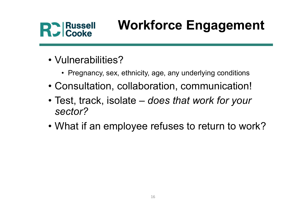

# Workforce Engagement **Russell Workforce Engagement**<br>
Unerabilities?<br>
• Pregnancy, sex, ethnicity, age, any underlying conditions<br>
onsultation, collaboration, communication!

- 
- Vulnerabilities?<br>• Vulnerabilities?<br>• Pregnancy, sex, ethnicity, age, any units
- 
- Cooke **Workforce Engagement**<br>• Vulnerabilities?<br>• Pregnancy, sex, ethnicity, age, any underlying conditions<br>• Consultation, collaboration, communication!<br>• Test, track, isolate *does that work for your* • Vulnerabilities?<br>• Vulnerabilities?<br>• Pregnancy, sex, ethnicity, age, any underlying conditions<br>• Consultation, collaboration, communication!<br>• Test, track, isolate – *does that work for your*<br>sector? sector? • Vulnerabilities?<br>• Pregnancy, sex, ethnicity, age, any underlying conditions<br>• Consultation, collaboration, communication!<br>• Test, track, isolate – *does that work for your*<br>*sector?*<br>• What if an employee refuses to ret
-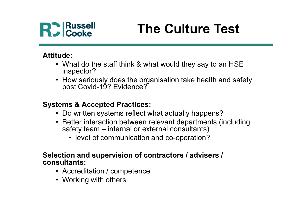

## The Culture Test

### Attitude:

- Russell<br>• Cooke **The Culture Test**<br>• What do the staff think & what would they say to an HSE<br>• How seriously does the organisation take health and safety<br>• post Covid-19? Evidence? inspector? **Source External or the Staff think & what would they say to an HSE**<br>inspector?<br>How seriously does the organisation take health and safe<br>post Covid-19? Evidence?<br>**ms & Accepted Practices:**<br>Do written systems reflect what a
- Russell<br>• Cooke **The Culture Test**<br>• What do the staff think & what would they say to an HSE<br>• How seriously does the organisation take health and safety<br>• post Covid-19? Evidence?<br>**tems & Acconted Practices**: • How seriously does the organisation take health and safety post Covid-19? Evidence? • Cooke **The Culture Test**<br>
• What do the staff think & what would they say to an HSE<br>
• How seriously does the organisation take health and safety<br>
• post Covid-19? Evidence?<br>
• Do written systems reflect what actually ha • Cooke<br>• What do the staff think & what would they say to an HSE<br>• What do the staff think & what would they say to an HSE<br>• How seriously does the organisation take health and safety<br>post Covid-19? Evidence?<br>• Exiter int • lhat do the staff think & what would they say to an HSE<br>spector?<br>bow seriously does the organisation take health and safety<br>ost Covid-19? Evidence?<br>**s & Accepted Practices:**<br>bow written systems reflect what actually happ

### Systems & Accepted Practices:

- 
- -

## Selection and supervision of contractors / advisers / consultants: • How seriously does the organisation take healt<br>post Covid-19? Evidence?<br>tems & Accepted Practices:<br>• Do written systems reflect what actually happe<br>• Better interaction between relevant department<br>safety team – internal post Covid-19? Evidence?<br>
tems & Accepted Practices:<br>
• Do written systems reflect what actual<br>
• Better interaction between relevant density team – internal or external con<br>
• level of communication and co-opection and su

- 
-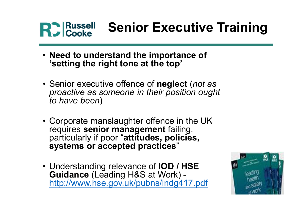## Senior Executive Training

- Need to understand the importance of 'setting the right tone at the top'
- Russell Senior Executive Train<br>• Need to understand the importance of<br>• Senior executive offence of neglect (*not as*<br>• Senior executive offence of neglect (*not as*<br>• proactive as someone in their position ought<br>• to ha proactive as someone in their position ought to have been)
- Need to understand the importance of<br>• Senior executive offence at the top'<br>• Senior executive offence of neglect (not as<br>*proactive as someone in their position ought<br>to have been*)<br>• Corporate manslaughter offence in t requires senior management failing, particularly if poor "attitudes, policies, systems or accepted practices" • Senior executive offence of **neglect** (*not as*<br>proactive as someone in their position ought<br>to have been)<br>• Corporate manslaughter offence in the UK<br>requires **senior management** failing,<br>particularly if poor "**attitudes**
- Guidance (Leading H&S at Work) http://www.hse.gov.uk/pubns/indg417.pdf

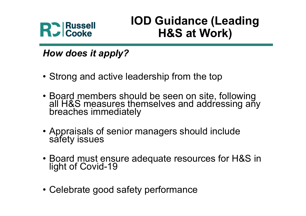

# IOD Guidance (Leading H&S at Work) **PC Russell Cooke**<br> **Cooke**<br> **Cooke**<br> **Cooke**<br> **Cooke**<br> **Cooke**<br> **Cooke**<br> **Cooke**<br> **Cooke**<br> **Cooke**<br> **COOKS**<br> **COOKS**<br> **COOKS**<br> **COOKS**<br> **COOKS**<br> **COOKS**<br> **COOKS**<br> **COOKS**<br> **COOKS**<br> **COOKS**<br> **COOKS**<br> **COOKS**<br> **COOKS**<br> **COO**

How does it apply?

- 
- Board members should be seen on site, following<br>
 Board members should be seen on site, following<br>
 Board members should be seen on site, following<br>
 Board members should be seen on site, following<br>
all H&S measures t **How does it apply?**<br>• Strong and active leadership from the top<br>• Board members should be seen on site, follow<br>all H&S measures themselves and addressing<br>breaches immediately<br>• Appraisals of senior managers should include • Strong and active leadership from the top<br>• Board members should be seen on site, following<br>all H&S measures themselves and addressing any<br>breaches immediately<br>• Appraisals of senior managers should include<br>safety issues • Board members should be seen on<br>all H&S measures themselves and a<br>breaches immediately<br>• Appraisals of senior managers shou<br>safety issues<br>• Board must ensure adequate resou<br>light of Covid-19<br>• Celebrate good safety perfo
- 
- light of Covid-19
-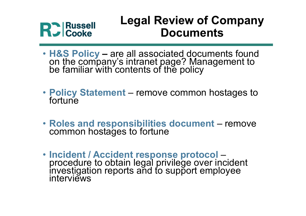## Legal Review of Company **Documents**

- H&S Policy are all associated documents found on the company's intranet page? Management to be familiar with contents of the policy **Example 31 Property Cooke**<br>
• **H&S Policy – are all associated documents**<br>
• **H&S Policy – are all associated documents found**<br>
on the company's intranet page? Management to<br>
be familiar with contents of the policy<br>
• Pol • H&S Policy – are all associated documents<br>• H&S Policy – are all associated documents found<br>on the company's intranet page? Management to<br>be familiar with contents of the policy<br>• Policy Statement – remove common hostage
- Policy Statement remove common hostages to<br>fortune
- Roles and responsibilities document remove<br>common hostages to fortune
- Incident / Accident response protocol procedure to obtain legal privilege over incident investigation reports and to support employee interviews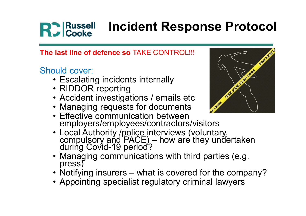## Incident Response Protocol • Russell Incident Response F<br>
Iast line of defence so TAKE CONTROL!!!<br>
Duld cover:<br>
• Escalating incidents internally<br>
• RIDDOR reporting<br>
• Accident investigations / emails etc **• Russell Procident Resp<br>
Incident Resp<br>
Iast line of defence so TAKE CONTROL!!<br>
buld cover:<br>
• Escalating incidents internally<br>
• RIDDOR reporting<br>
• Accident investigations / emails et Managing requests for documents** • Russell Incident Response Prot<br>
last line of defence so TAKE CONTROL!!!<br>
buld cover:<br>
• Escalating incidents internally<br>
• RIDDOR reporting<br>
• Accident investigations / emails etc<br>
• Managing requests for documents<br>
• Ef • Russell Incident Response Pro<br>
Valid cover:<br>
• Escalating incidents internally<br>
• RIDDOR reporting<br>
• Accident investigations / emails etc<br>
• Managing requests for documents<br>
• Effective communication between<br>
• employer

The last line of defence so TAKE CONTROL!!!

### Should cover:

- 
- 
- 
- 
- **Holdent Response<br>
 Escalating incidents internally<br>
 Escalating incidents internally<br>
 RIDDOR reporting<br>
 Accident investigations / emails etc<br>
 Managing requests for documents<br>
 Effective communication between<br>** employers/employees/contractors/visitors
- **Fact Authority /police interviews (voluntary, and PACE)**<br>
 RIDDOR reporting<br>
 Accident investigations / emails etc<br>
 Managing requests for documents<br>
 Effective communication between<br>
 Encyclopters/employees/contract vuld cover:<br>
• Escalating incidents internally<br>
• RIDDOR reporting<br>
• Accident investigations / emails etc<br>
• Managing requests for documents<br>
• Effective communication between<br>
• mployers/employees/contractors/visitors<br>
• • Escalating incluents internatiy<br>• RIDDOR reporting<br>• Accident investigations / emails etc<br>• Managing requests for documents<br>• Enective communication between<br>• Morel Authority /police interviews (voluntary,<br>compulsory and • RIDDOR reporting<br>
• Accident investigations / emails etc<br>
• Managing requests for documents<br>
• Effective communication between<br>
• employers/employees/contractors/visitors<br>
• Local Authority /police interviews (voluntary,
- 
- 
- 

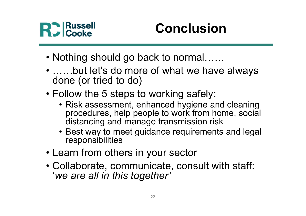

## Conclusion

- 
- Nothing should go back to normal……<br>• Nothing should go back to normal……<br>• ……but let's do more of what we have always<br>done (or tried to do) • Nothing should go back to normal......<br>• ……but let's do more of what we have always<br>• conce (or tried to do)<br>• Follow the 5 steps to working safely: done (or tried to do) • **Conclusion**<br>• Nothing should go back to normal......<br>• ......but let's do more of what we have alwatione (or tried to do)<br>• Follow the 5 steps to working safely:<br>• Risk assessment, enhanced hygiene and clear procedures,
- 
- Russell<br>
 Conclusion<br>
 Conclusion<br>
 Ming should go back to normal......<br>
 Ming should go back to normal......<br>
 One (or tried to do)<br>
 One of working safely:<br>
 Risk assessment, enhanced hygiene and cleaning<br>
proce procedures, help people to work from home, social distancing and manage transmission risk othing should go back to normal......<br>
....but let's do more of what we have always<br>
one (or tried to do)<br>
ollow the 5 steps to working safely:<br>
• Risk assessment, enhanced hygiene and cleaning<br>
procedures, help people to • ......but let's do more of what we have a<br>done (or tried to do)<br>• Follow the 5 steps to working safely:<br>• Risk assessment, enhanced hygiene and cl<br>procedures, help people to work from home<br>distancing and manage transmiss • Collaborate, communicate, consult with staff:<br>
• Collaborate, communicate, consult with staff:<br>
• Collaborate, communicate, consult with staff:<br>
• Learn from others in your sector<br>
• Collaborate, communicate, consult wit
	- responsibilities
- 
- 'we are all in this together'